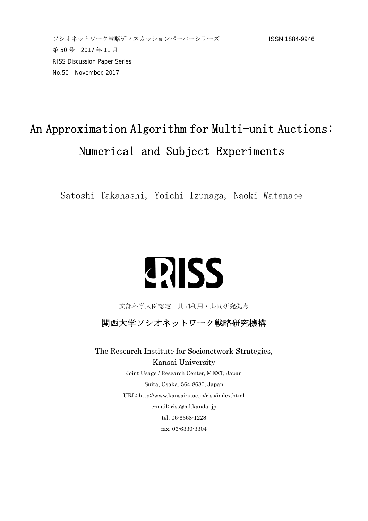## An Approximation Algorithm for Multi-unit Auctions: Numerical and Subject Experiments

Satoshi Takahashi, Yoichi Izunaga, Naoki Watanabe

## **ERISS**

文部科学大臣認定 共同利用・共同研究拠点

関西大学ソシオネットワーク戦略研究機構

The Research Institute for Socionetwork Strategies, Kansai University Joint Usage / Research Center, MEXT, Japan Suita, Osaka, 564-8680, Japan URL: http://www.kansai-u.ac.jp/riss/index.html e-mail: riss@ml.kandai.jp tel. 06-6368-1228 fax. 06-6330-3304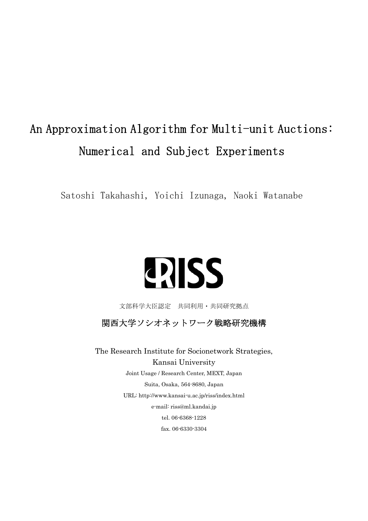## An Approximation Algorithm for Multi-unit Auctions: Numerical and Subject Experiments

Satoshi Takahashi, Yoichi Izunaga, Naoki Watanabe

# **QISS**

文部科学大臣認定 共同利用・共同研究拠点

関西大学ソシオネットワーク戦略研究機構

The Research Institute for Socionetwork Strategies, Kansai University Joint Usage / Research Center, MEXT, Japan Suita, Osaka, 564-8680, Japan URL: http://www.kansai-u.ac.jp/riss/index.html e-mail: riss@ml.kandai.jp tel. 06-6368-1228 fax. 06-6330-3304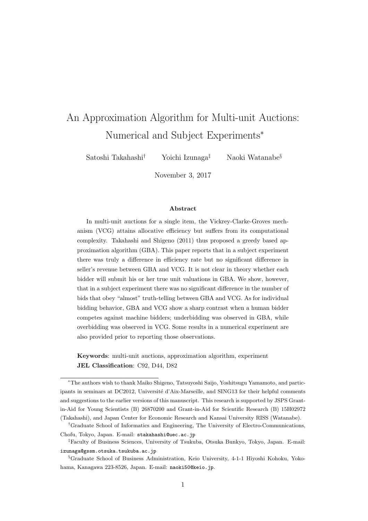### An Approximation Algorithm for Multi-unit Auctions: Numerical and Subject Experiments*<sup>∗</sup>*

Satoshi Takahashi*†* Yoichi Izunaga*‡* Naoki Watanabe*§*

November 3, 2017

#### **Abstract**

In multi-unit auctions for a single item, the Vickrey-Clarke-Groves mechanism (VCG) attains allocative efficiency but suffers from its computational complexity. Takahashi and Shigeno (2011) thus proposed a greedy based approximation algorithm (GBA). This paper reports that in a subject experiment there was truly a difference in efficiency rate but no significant difference in seller's revenue between GBA and VCG. It is not clear in theory whether each bidder will submit his or her true unit valuations in GBA. We show, however, that in a subject experiment there was no significant difference in the number of bids that obey "almost" truth-telling between GBA and VCG. As for individual bidding behavior, GBA and VCG show a sharp contrast when a human bidder competes against machine bidders; underbidding was observed in GBA, while overbidding was observed in VCG. Some results in a numerical experiment are also provided prior to reporting those observations.

**Keywords**: multi-unit auctions, approximation algorithm, experiment **JEL Classification**: C92, D44, D82

*<sup>∗</sup>*The authors wish to thank Maiko Shigeno, Tatsuyoshi Saijo, Yoshitsugu Yamamoto, and participants in seminars at DC2012, Université d'Aix-Marseille, and SING13 for their helpful comments and suggestions to the earlier versions of this manuscript. This research is supported by JSPS Grantin-Aid for Young Scientists (B) 26870200 and Grant-in-Aid for Scientific Research (B) 15H02972 (Takahashi), and Japan Center for Economic Research and Kansai University RISS (Watanabe).

*<sup>†</sup>*Graduate School of Informatics and Engineering, The University of Electro-Communications, Chofu, Tokyo, Japan. E-mail: stakahashi@uec.ac.jp

*<sup>‡</sup>*Faculty of Business Sciences, University of Tsukuba, Otsuka Bunkyo, Tokyo, Japan. E-mail: izunaga@gssm.otsuka.tsukuba.ac.jp

*<sup>§</sup>*Graduate School of Business Administration, Keio University, 4-1-1 Hiyoshi Kohoku, Yokohama, Kanagawa 223-8526, Japan. E-mail: naoki50@keio.jp.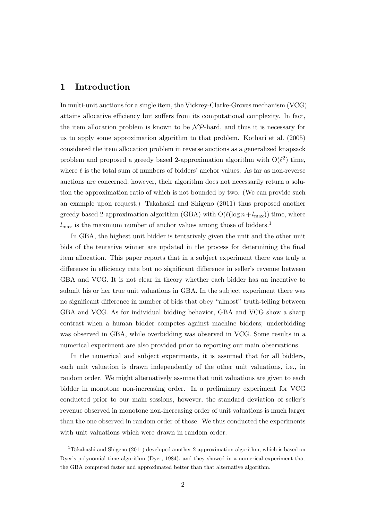#### **1 Introduction**

In multi-unit auctions for a single item, the Vickrey-Clarke-Groves mechanism (VCG) attains allocative efficiency but suffers from its computational complexity. In fact, the item allocation problem is known to be  $\mathcal{NP}$ -hard, and thus it is necessary for us to apply some approximation algorithm to that problem. Kothari et al. (2005) considered the item allocation problem in reverse auctions as a generalized knapsack problem and proposed a greedy based 2-approximation algorithm with  $O(\ell^2)$  time, where *ℓ* is the total sum of numbers of bidders' anchor values. As far as non-reverse auctions are concerned, however, their algorithm does not necessarily return a solution the approximation ratio of which is not bounded by two. (We can provide such an example upon request.) Takahashi and Shigeno (2011) thus proposed another greedy based 2-approximation algorithm (GBA) with  $O(\ell(\log n + l_{\max}))$  time, where  $l_{\text{max}}$  is the maximum number of anchor values among those of bidders.<sup>1</sup>

In GBA, the highest unit bidder is tentatively given the unit and the other unit bids of the tentative winner are updated in the process for determining the final item allocation. This paper reports that in a subject experiment there was truly a difference in efficiency rate but no significant difference in seller's revenue between GBA and VCG. It is not clear in theory whether each bidder has an incentive to submit his or her true unit valuations in GBA. In the subject experiment there was no significant difference in number of bids that obey "almost" truth-telling between GBA and VCG. As for individual bidding behavior, GBA and VCG show a sharp contrast when a human bidder competes against machine bidders; underbidding was observed in GBA, while overbidding was observed in VCG. Some results in a numerical experiment are also provided prior to reporting our main observations.

In the numerical and subject experiments, it is assumed that for all bidders, each unit valuation is drawn independently of the other unit valuations, i.e., in random order. We might alternatively assume that unit valuations are given to each bidder in monotone non-increasing order. In a preliminary experiment for VCG conducted prior to our main sessions, however, the standard deviation of seller's revenue observed in monotone non-increasing order of unit valuations is much larger than the one observed in random order of those. We thus conducted the experiments with unit valuations which were drawn in random order.

<sup>&</sup>lt;sup>1</sup>Takahashi and Shigeno (2011) developed another 2-approximation algorithm, which is based on Dyer's polynomial time algorithm (Dyer, 1984), and they showed in a numerical experiment that the GBA computed faster and approximated better than that alternative algorithm.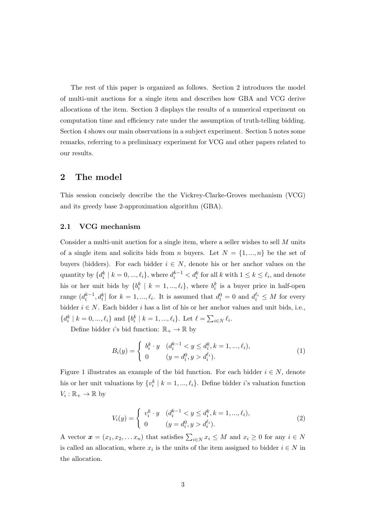The rest of this paper is organized as follows. Section 2 introduces the model of multi-unit auctions for a single item and describes how GBA and VCG derive allocations of the item. Section 3 displays the results of a numerical experiment on computation time and efficiency rate under the assumption of truth-telling bidding. Section 4 shows our main observations in a subject experiment. Section 5 notes some remarks, referring to a preliminary experiment for VCG and other papers related to our results.

#### **2 The model**

This session concisely describe the the Vickrey-Clarke-Groves mechanism (VCG) and its greedy base 2-approximation algorithm (GBA).

#### **2.1 VCG mechanism**

Consider a multi-unit auction for a single item, where a seller wishes to sell *M* units of a single item and solicits bids from *n* buyers. Let  $N = \{1, ..., n\}$  be the set of buyers (bidders). For each bidder  $i \in N$ , denote his or her anchor values on the quantity by  $\{d_i^k \mid k = 0, ..., \ell_i\}$ , where  $d_i^{k-1} < d_i^k$  for all k with  $1 \leq k \leq \ell_i$ , and denote his or her unit bids by  $\{b_i^k \mid k = 1, ..., \ell_i\}$ , where  $b_i^k$  is a buyer price in half-open range  $(d_i^{k-1}, d_i^k]$  for  $k = 1, ..., \ell_i$ . It is assumed that  $d_i^0 = 0$  and  $d_i^{\ell_i} \leq M$  for every bidder  $i \in N$ . Each bidder  $i$  has a list of his or her anchor values and unit bids, i.e.,  $\{d_i^k | k = 0, ..., \ell_i\}$  and  $\{b_i^k | k = 1, ..., \ell_i\}$ . Let  $\ell = \sum_{i \in N} \ell_i$ .

Define bidder *i*'s bid function:  $\mathbb{R}_+ \to \mathbb{R}$  by

$$
B_i(y) = \begin{cases} b_i^k \cdot y & (d_i^{k-1} < y \le d_i^k, k = 1, \dots, \ell_i), \\ 0 & (y = d_i^0, y > d_i^{\ell_i}). \end{cases} \tag{1}
$$

Figure 1 illustrates an example of the bid function. For each bidder  $i \in N$ , denote his or her unit valuations by  $\{v_i^k \mid k = 1, ..., \ell_i\}$ . Define bidder *i*'s valuation function  $V_i: \mathbb{R}_+ \to \mathbb{R}$  by

$$
V_i(y) = \begin{cases} v_i^k \cdot y & (d_i^{k-1} < y \le d_i^k, k = 1, \dots, \ell_i), \\ 0 & (y = d_i^0, y > d_i^{\ell_i}). \end{cases} \tag{2}
$$

A vector  $\boldsymbol{x} = (x_1, x_2, \dots, x_n)$  that satisfies  $\sum_{i \in N} x_i \leq M$  and  $x_i \geq 0$  for any  $i \in N$ is called an allocation, where  $x_i$  is the units of the item assigned to bidder  $i \in N$  in the allocation.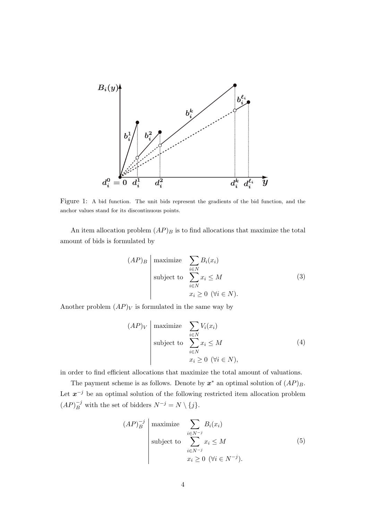

Figure 1: A bid function. The unit bids represent the gradients of the bid function, and the anchor values stand for its discontinuous points.

An item allocation problem  $(AP)_B$  is to find allocations that maximize the total amount of bids is formulated by

$$
(AP)_B \begin{array}{|l|l|}\n\hline\n\text{maximize} & \sum_{i \in N} B_i(x_i) \\
\text{subject to} & \sum_{i \in N} x_i \le M \\
& x_i \ge 0 \ (\forall i \in N).\n\end{array} \tag{3}
$$

Another problem  $(AP)_V$  is formulated in the same way by

$$
(AP)_V \begin{array}{|l|l|}\n \text{maximize} & \sum_{i \in N} V_i(x_i) \\
 \text{subject to} & \sum_{i \in N} x_i \le M \\
 & x_i \ge 0 \ (\forall i \in N),\n \end{array} \tag{4}
$$

in order to find efficient allocations that maximize the total amount of valuations.

The payment scheme is as follows. Denote by  $x^*$  an optimal solution of  $(AP)_B$ . Let *x <sup>−</sup><sup>j</sup>* be an optimal solution of the following restricted item allocation problem  $(AP)^{-j}_{B}$  with the set of bidders  $N^{-j} = N \setminus \{j\}.$ 

$$
(AP)^{-j}_{B} \left| \begin{array}{l} \text{maximize} & \sum_{i \in N^{-j}} B_i(x_i) \\ \text{subject to} & \sum_{i \in N^{-j}} x_i \le M \\ x_i \ge 0 \ (\forall i \in N^{-j}). \end{array} \right. \tag{5}
$$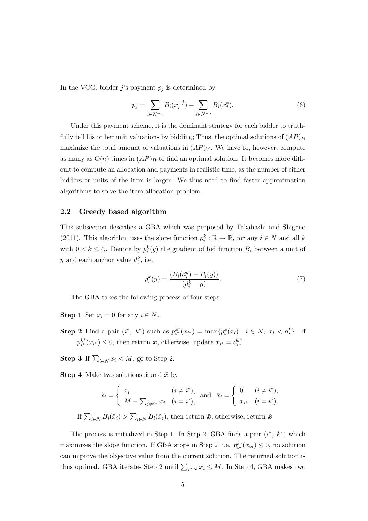In the VCG, bidder  $j$ 's payment  $p_j$  is determined by

$$
p_j = \sum_{i \in N^{-j}} B_i(x_i^{-j}) - \sum_{i \in N^{-j}} B_i(x_i^*).
$$
 (6)

Under this payment scheme, it is the dominant strategy for each bidder to truthfully tell his or her unit valuations by bidding; Thus, the optimal solutions of  $(AP)_B$ maximize the total amount of valuations in  $(AP)_V$ . We have to, however, compute as many as  $O(n)$  times in  $AP)_B$  to find an optimal solution. It becomes more difficult to compute an allocation and payments in realistic time, as the number of either bidders or units of the item is larger. We thus need to find faster approximation algorithms to solve the item allocation problem.

#### **2.2 Greedy based algorithm**

This subsection describes a GBA which was proposed by Takahashi and Shigeno (2011). This algorithm uses the slope function  $p_i^k : \mathbb{R} \to \mathbb{R}$ , for any  $i \in N$  and all *k* with  $0 < k \leq \ell_i$ . Denote by  $p_i^k(y)$  the gradient of bid function  $B_i$  between a unit of *y* and each anchor value  $d_i^k$ , i.e.,

$$
p_i^k(y) = \frac{(B_i(d_i^k) - B_i(y))}{(d_i^k - y)}.
$$
\n(7)

The GBA takes the following process of four steps.

- **Step 1** Set  $x_i = 0$  for any  $i \in N$ .
- **Step 2** Find a pair  $(i^*, k^*)$  such as  $p_{i^*}^{k^*}(x_{i^*}) = \max\{p_i^k(x_i) \mid i \in N, x_i < d_i^k\}.$  If  $p_{i^*}^{k^*}(x_{i^*}) \leq 0$ , then return *x*, otherwise, update  $x_{i^*} = d_{i^*}^{k^*}$

**Step 3** If  $\sum_{i \in N} x_i < M$ , go to Step 2.

**Step 4** Make two solutions  $\hat{x}$  and  $\tilde{x}$  by

$$
\hat{x}_i = \begin{cases} x_i & (i \neq i^*), \\ M - \sum_{j \neq i^*} x_j & (i = i^*), \end{cases} \text{ and } \tilde{x}_i = \begin{cases} 0 & (i \neq i^*), \\ x_{i^*} & (i = i^*). \end{cases}
$$

If 
$$
\sum_{i \in N} B_i(\hat{x}_i) > \sum_{i \in N} B_i(\tilde{x}_i)
$$
, then return  $\hat{x}$ , otherwise, return  $\tilde{x}$ 

The process is initialized in Step 1. In Step 2, GBA finds a pair  $(i^*, k^*)$  which maximizes the slope function. If GBA stops in Step 2, i.e.  $p_{i*}^{k*}(x_{i*}) \leq 0$ , no solution can improve the objective value from the current solution. The returned solution is thus optimal. GBA iterates Step 2 until  $\sum_{i \in N} x_i \leq M$ . In Step 4, GBA makes two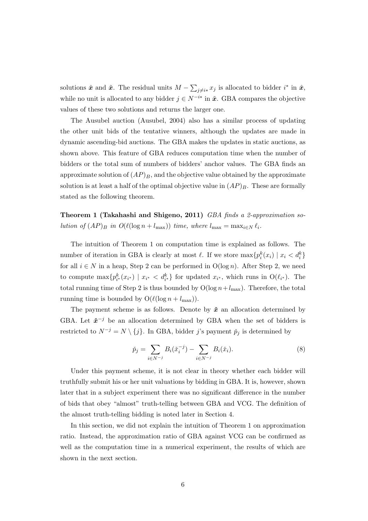solutions  $\hat{x}$  and  $\tilde{x}$ . The residual units  $M - \sum_{j \neq i*} x_j$  is allocated to bidder  $i^*$  in  $\hat{x}$ , while no unit is allocated to any bidder  $j \in N^{-i*}$  in  $\tilde{x}$ . GBA compares the objective values of these two solutions and returns the larger one.

The Ausubel auction (Ausubel, 2004) also has a similar process of updating the other unit bids of the tentative winners, although the updates are made in dynamic ascending-bid auctions. The GBA makes the updates in static auctions, as shown above. This feature of GBA reduces computation time when the number of bidders or the total sum of numbers of bidders' anchor values. The GBA finds an approximate solution of  $(AP)_B$ , and the objective value obtained by the approximate solution is at least a half of the optimal objective value in  $(AP)_B$ . These are formally stated as the following theorem.

**Theorem 1 (Takahashi and Shigeno, 2011)** *GBA finds a 2-approximation solution of*  $(AP)_B$  *in*  $O(\ell(\log n + l_{\max}))$  *time, where*  $l_{\max} = \max_{i \in N} \ell_i$ *.* 

The intuition of Theorem 1 on computation time is explained as follows. The number of iteration in GBA is clearly at most  $\ell$ . If we store  $\max\{p_i^k(x_i) \mid x_i < d_i^k\}$ for all  $i \in N$  in a heap, Step 2 can be performed in  $O(\log n)$ . After Step 2, we need to compute  $\max\{p_{i^*}^k(x_{i^*}) \mid x_{i^*} < d_{i^*}^k\}$  for updated  $x_{i^*}$ , which runs in  $O(\ell_{i^*})$ . The total running time of Step 2 is thus bounded by  $O(log n + l_{max})$ . Therefore, the total running time is bounded by  $O(\ell(\log n + l_{\max}))$ .

The payment scheme is as follows. Denote by  $\tilde{x}$  an allocation determined by GBA. Let  $\tilde{\boldsymbol{x}}^{-j}$  be an allocation determined by GBA when the set of bidders is restricted to  $N^{-j} = N \setminus \{j\}$ . In GBA, bidder *j*'s payment  $\check{p}_j$  is determined by

$$
\check{p}_j = \sum_{i \in N^{-j}} B_i(\check{x}_i^{-j}) - \sum_{i \in N^{-j}} B_i(\check{x}_i). \tag{8}
$$

Under this payment scheme, it is not clear in theory whether each bidder will truthfully submit his or her unit valuations by bidding in GBA. It is, however, shown later that in a subject experiment there was no significant difference in the number of bids that obey "almost" truth-telling between GBA and VCG. The definition of the almost truth-telling bidding is noted later in Section 4.

In this section, we did not explain the intuition of Theorem 1 on approximation ratio. Instead, the approximation ratio of GBA against VCG can be confirmed as well as the computation time in a numerical experiment, the results of which are shown in the next section.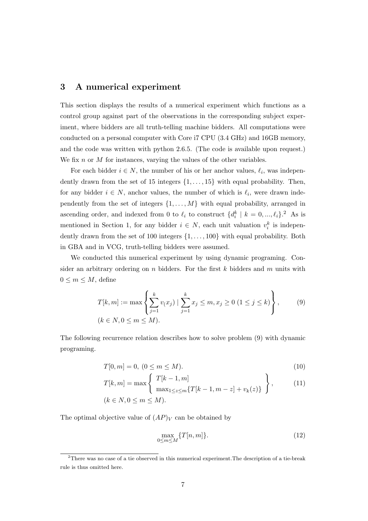#### **3 A numerical experiment**

This section displays the results of a numerical experiment which functions as a control group against part of the observations in the corresponding subject experiment, where bidders are all truth-telling machine bidders. All computations were conducted on a personal computer with Core i7 CPU (3.4 GHz) and 16GB memory, and the code was written with python 2.6.5. (The code is available upon request.) We fix *n* or *M* for instances, varying the values of the other variables.

For each bidder  $i \in N$ , the number of his or her anchor values,  $\ell_i$ , was independently drawn from the set of 15 integers *{*1*, . . . ,* 15*}* with equal probability. Then, for any bidder  $i \in N$ , anchor values, the number of which is  $\ell_i$ , were drawn independently from the set of integers  $\{1, \ldots, M\}$  with equal probability, arranged in ascending order, and indexed from 0 to  $\ell_i$  to construct  $\{d_i^k \mid k = 0, ..., \ell_i\}$ .<sup>2</sup> As is mentioned in Section 1, for any bidder  $i \in N$ , each unit valuation  $v_i^k$  is independently drawn from the set of 100 integers *{*1*, . . . ,* 100*}* with equal probability. Both in GBA and in VCG, truth-telling bidders were assumed.

We conducted this numerical experiment by using dynamic programing. Consider an arbitrary ordering on *n* bidders. For the first *k* bidders and *m* units with  $0 \leq m \leq M$ , define

$$
T[k, m] := \max \left\{ \sum_{j=1}^{k} v(x_j) \mid \sum_{j=1}^{k} x_j \le m, x_j \ge 0 \ (1 \le j \le k) \right\},\tag{9}
$$
  
 $(k \in N, 0 \le m \le M).$ 

The following recurrence relation describes how to solve problem (9) with dynamic programing.

$$
T[0, m] = 0, \ (0 \le m \le M). \tag{10}
$$

$$
T[k,m] = \max\left\{\n\begin{array}{l}\nT[k-1,m] \\
\max_{1 \le z \le m} \{T[k-1,m-z] + v_k(z)\}\n\end{array}\n\right\},
$$
\n(11)\n
$$
(k \in N, 0 \le m \le M).
$$

The optimal objective value of  $(AP)_V$  can be obtained by

$$
\max_{0 \le m \le M} \{T[n, m]\}.
$$
\n(12)

<sup>2</sup>There was no case of a tie observed in this numerical experiment.The description of a tie-break rule is thus omitted here.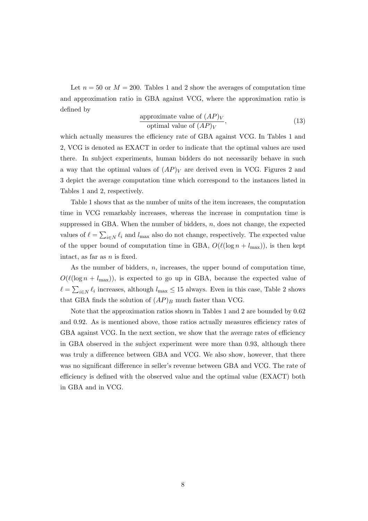Let  $n = 50$  or  $M = 200$ . Tables 1 and 2 show the averages of computation time and approximation ratio in GBA against VCG, where the approximation ratio is defined by

$$
\frac{\text{approximate value of } (AP)_V}{\text{optimal value of } (AP)_V},\tag{13}
$$

which actually measures the efficiency rate of GBA against VCG. In Tables 1 and 2, VCG is denoted as EXACT in order to indicate that the optimal values are used there. In subject experiments, human bidders do not necessarily behave in such a way that the optimal values of  $AP$ ) $V$  are derived even in VCG. Figures 2 and 3 depict the average computation time which correspond to the instances listed in Tables 1 and 2, respectively.

Table 1 shows that as the number of units of the item increases, the computation time in VCG remarkably increases, whereas the increase in computation time is suppressed in GBA. When the number of bidders, *n*, does not change, the expected values of  $\ell = \sum_{i \in N} \ell_i$  and  $l_{\text{max}}$  also do not change, respectively. The expected value of the upper bound of computation time in GBA,  $O(\ell(\log n + l_{\max}))$ , is then kept intact, as far as *n* is fixed.

As the number of bidders, *n*, increases, the upper bound of computation time,  $O(\ell(\log n + l_{\max}))$ , is expected to go up in GBA, because the expected value of  $\ell = \sum_{i \in \mathbb{N}} \ell_i$  increases, although  $l_{\text{max}} \leq 15$  always. Even in this case, Table 2 shows that GBA finds the solution of  $AP)_B$  much faster than VCG.

Note that the approximation ratios shown in Tables 1 and 2 are bounded by 0.62 and 0.92. As is mentioned above, those ratios actually measures efficiency rates of GBA against VCG. In the next section, we show that the average rates of efficiency in GBA observed in the subject experiment were more than 0.93, although there was truly a difference between GBA and VCG. We also show, however, that there was no significant difference in seller's revenue between GBA and VCG. The rate of efficiency is defined with the observed value and the optimal value (EXACT) both in GBA and in VCG.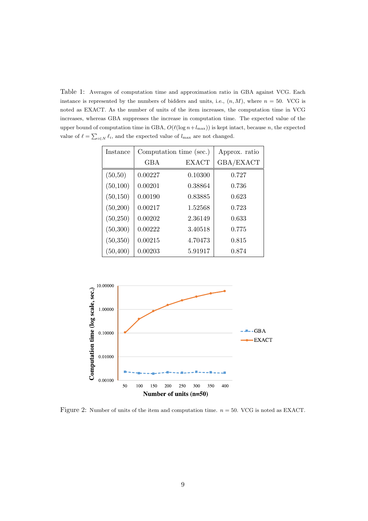Table 1: Averages of computation time and approximation ratio in GBA against VCG. Each instance is represented by the numbers of bidders and units, i.e.,  $(n, M)$ , where  $n = 50$ . VCG is noted as EXACT. As the number of units of the item increases, the computation time in VCG increases, whereas GBA suppresses the increase in computation time. The expected value of the upper bound of computation time in GBA,  $O(\ell(\log n + l_{\max}))$  is kept intact, because *n*, the expected value of  $\ell = \sum_{i \in N} \ell_i$ , and the expected value of  $l_{\text{max}}$  are not changed.

| Instance  | Computation time (sec.) |              | Approx. ratio |
|-----------|-------------------------|--------------|---------------|
|           | GBA                     | <b>EXACT</b> | GBA/EXACT     |
| (50,50)   | 0.00227                 | 0.10300      | 0.727         |
| (50, 100) | 0.00201                 | 0.38864      | 0.736         |
| (50, 150) | 0.00190                 | 0.83885      | 0.623         |
| (50, 200) | 0.00217                 | 1.52568      | 0.723         |
| (50, 250) | 0.00202                 | 2.36149      | 0.633         |
| (50, 300) | 0.00222                 | 3.40518      | 0.775         |
| (50, 350) | 0.00215                 | 4.70473      | 0.815         |
| (50, 400) | 0.00203                 | 5.91917      | 0.874         |



Figure 2: Number of units of the item and computation time. *n* = 50. VCG is noted as EXACT.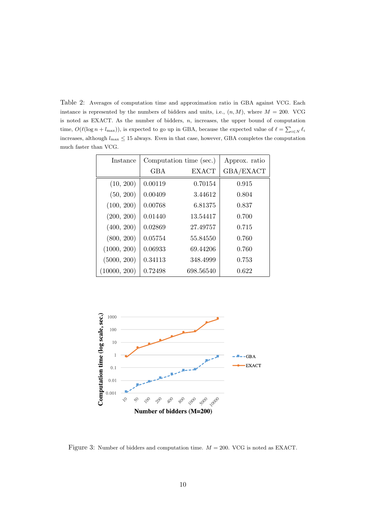Table 2: Averages of computation time and approximation ratio in GBA against VCG. Each instance is represented by the numbers of bidders and units, i.e.,  $(n, M)$ , where  $M = 200$ . VCG is noted as EXACT. As the number of bidders, *n*, increases, the upper bound of computation time,  $O(\ell(\log n + l_{\max}))$ , is expected to go up in GBA, because the expected value of  $\ell = \sum_{i \in N} \ell_i$ increases, although  $l_{\text{max}} \leq 15$  always. Even in that case, however, GBA completes the computation much faster than VCG.

| Instance     |            | Computation time (sec.) | Approx. ratio |
|--------------|------------|-------------------------|---------------|
|              | <b>GBA</b> | <b>EXACT</b>            | GBA/EXACT     |
| (10, 200)    | 0.00119    | 0.70154                 | 0.915         |
| (50, 200)    | 0.00409    | 3.44612                 | 0.804         |
| (100, 200)   | 0.00768    | 6.81375                 | 0.837         |
| (200, 200)   | 0.01440    | 13.54417                | 0.700         |
| (400, 200)   | 0.02869    | 27.49757                | 0.715         |
| (800, 200)   | 0.05754    | 55.84550                | 0.760         |
| (1000, 200)  | 0.06933    | 69.44206                | 0.760         |
| (5000, 200)  | 0.34113    | 348.4999                | 0.753         |
| (10000, 200) | 0.72498    | 698.56540               | 0.622         |



Figure 3: Number of bidders and computation time. *M* = 200. VCG is noted as EXACT.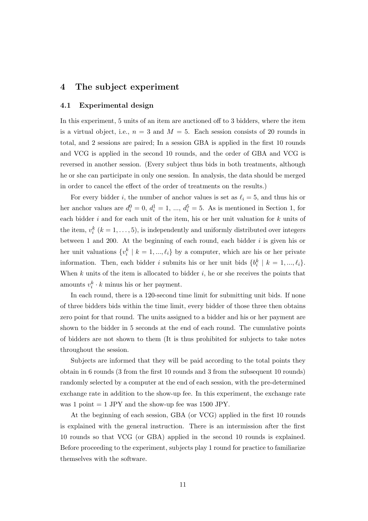#### **4 The subject experiment**

#### **4.1 Experimental design**

In this experiment, 5 units of an item are auctioned off to 3 bidders, where the item is a virtual object, i.e.,  $n = 3$  and  $M = 5$ . Each session consists of 20 rounds in total, and 2 sessions are paired; In a session GBA is applied in the first 10 rounds and VCG is applied in the second 10 rounds, and the order of GBA and VCG is reversed in another session. (Every subject thus bids in both treatments, although he or she can participate in only one session. In analysis, the data should be merged in order to cancel the effect of the order of treatments on the results.)

For every bidder *i*, the number of anchor values is set as  $\ell_i = 5$ , and thus his or her anchor values are  $d_i^0 = 0$ ,  $d_i^1 = 1$ , ...,  $d_i^5 = 5$ . As is mentioned in Section 1, for each bidder *i* and for each unit of the item, his or her unit valuation for *k* units of the item,  $v_i^k$  ( $k = 1, \ldots, 5$ ), is independently and uniformly distributed over integers between 1 and 200. At the beginning of each round, each bidder *i* is given his or her unit valuations  $\{v_i^k \mid k = 1, ..., \ell_i\}$  by a computer, which are his or her private information. Then, each bidder *i* submits his or her unit bids  $\{b_i^k \mid k = 1, ..., \ell_i\}$ . When *k* units of the item is allocated to bidder *i*, he or she receives the points that amounts  $v_i^k \cdot k$  minus his or her payment.

In each round, there is a 120-second time limit for submitting unit bids. If none of three bidders bids within the time limit, every bidder of those three then obtains zero point for that round. The units assigned to a bidder and his or her payment are shown to the bidder in 5 seconds at the end of each round. The cumulative points of bidders are not shown to them (It is thus prohibited for subjects to take notes throughout the session.

Subjects are informed that they will be paid according to the total points they obtain in 6 rounds (3 from the first 10 rounds and 3 from the subsequent 10 rounds) randomly selected by a computer at the end of each session, with the pre-determined exchange rate in addition to the show-up fee. In this experiment, the exchange rate was 1 point  $= 1$  JPY and the show-up fee was 1500 JPY.

At the beginning of each session, GBA (or VCG) applied in the first 10 rounds is explained with the general instruction. There is an intermission after the first 10 rounds so that VCG (or GBA) applied in the second 10 rounds is explained. Before proceeding to the experiment, subjects play 1 round for practice to familiarize themselves with the software.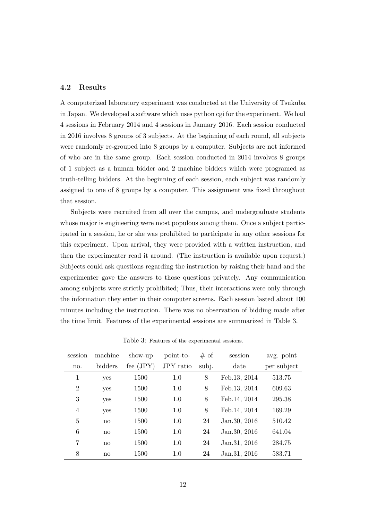#### **4.2 Results**

A computerized laboratory experiment was conducted at the University of Tsukuba in Japan. We developed a software which uses python cgi for the experiment. We had 4 sessions in February 2014 and 4 sessions in January 2016. Each session conducted in 2016 involves 8 groups of 3 subjects. At the beginning of each round, all subjects were randomly re-grouped into 8 groups by a computer. Subjects are not informed of who are in the same group. Each session conducted in 2014 involves 8 groups of 1 subject as a human bidder and 2 machine bidders which were programed as truth-telling bidders. At the beginning of each session, each subject was randomly assigned to one of 8 groups by a computer. This assignment was fixed throughout that session.

Subjects were recruited from all over the campus, and undergraduate students whose major is engineering were most populous among them. Once a subject participated in a session, he or she was prohibited to participate in any other sessions for this experiment. Upon arrival, they were provided with a written instruction, and then the experimenter read it around. (The instruction is available upon request.) Subjects could ask questions regarding the instruction by raising their hand and the experimenter gave the answers to those questions privately. Any communication among subjects were strictly prohibited; Thus, their interactions were only through the information they enter in their computer screens. Each session lasted about 100 minutes including the instruction. There was no observation of bidding made after the time limit. Features of the experimental sessions are summarized in Table 3.

| session        | machine      | show-up     | point-to- | # of  | session       | avg. point  |
|----------------|--------------|-------------|-----------|-------|---------------|-------------|
| no.            | bidders      | fee $(JPY)$ | JPY ratio | subj. | date          | per subject |
| 1              | yes          | 1500        | 1.0       | 8     | Feb.13, 2014  | 513.75      |
| $\overline{2}$ | yes          | 1500        | 1.0       | 8     | Feb.13, 2014  | 609.63      |
| 3              | yes          | 1500        | 1.0       | 8     | Feb. 14, 2014 | 295.38      |
| $\overline{4}$ | yes          | 1500        | 1.0       | 8     | Feb. 14, 2014 | 169.29      |
| 5              | no           | 1500        | 1.0       | 24    | Jan. 30, 2016 | 510.42      |
| 6              | no           | 1500        | 1.0       | 24    | Jan. 30, 2016 | 641.04      |
| $\overline{7}$ | no           | 1500        | 1.0       | 24    | Jan. 31, 2016 | 284.75      |
| 8              | $\mathbf{n}$ | 1500        | 1.0       | 24    | Jan. 31, 2016 | 583.71      |

Table 3: Features of the experimental sessions.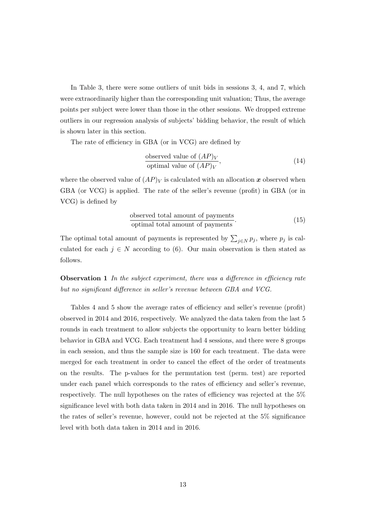In Table 3, there were some outliers of unit bids in sessions 3, 4, and 7, which were extraordinarily higher than the corresponding unit valuation; Thus, the average points per subject were lower than those in the other sessions. We dropped extreme outliers in our regression analysis of subjects' bidding behavior, the result of which is shown later in this section.

The rate of efficiency in GBA (or in VCG) are defined by

observed value of 
$$
(AP)_V
$$
  
optimal value of  $(AP)_V$ , (14)

where the observed value of  $AP$ <sub>*V*</sub> is calculated with an allocation *x* observed when GBA (or VCG) is applied. The rate of the seller's revenue (profit) in GBA (or in VCG) is defined by

$$
\frac{\text{observed total amount of payments}}{\text{optimal total amount of payments}}.\tag{15}
$$

The optimal total amount of payments is represented by  $\sum_{j \in N} p_j$ , where  $p_j$  is calculated for each  $j \in N$  according to (6). Our main observation is then stated as follows.

**Observation 1** *In the subject experiment, there was a difference in efficiency rate but no significant difference in seller's revenue between GBA and VCG.*

Tables 4 and 5 show the average rates of efficiency and seller's revenue (profit) observed in 2014 and 2016, respectively. We analyzed the data taken from the last 5 rounds in each treatment to allow subjects the opportunity to learn better bidding behavior in GBA and VCG. Each treatment had 4 sessions, and there were 8 groups in each session, and thus the sample size is 160 for each treatment. The data were merged for each treatment in order to cancel the effect of the order of treatments on the results. The p-values for the permutation test (perm. test) are reported under each panel which corresponds to the rates of efficiency and seller's revenue, respectively. The null hypotheses on the rates of efficiency was rejected at the 5% significance level with both data taken in 2014 and in 2016. The null hypotheses on the rates of seller's revenue, however, could not be rejected at the 5% significance level with both data taken in 2014 and in 2016.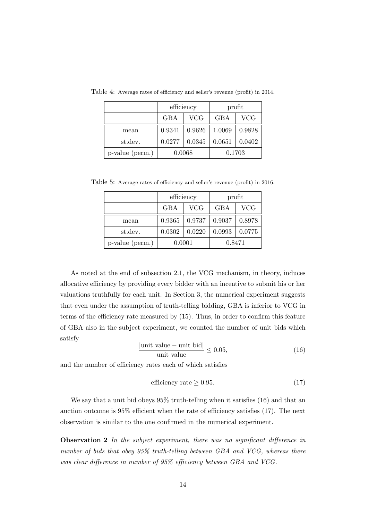|                 | efficiency |            | profit |            |
|-----------------|------------|------------|--------|------------|
|                 | GBA        | <b>VCG</b> | GBA    | <b>VCG</b> |
| mean            | 0.9341     | 0.9626     | 1.0069 | 0.9828     |
| st.dev.         | 0.0277     | 0.0345     | 0.0651 | 0.0402     |
| p-value (perm.) | 0.0068     |            |        | 0.1703     |

Table 4: Average rates of efficiency and seller's revenue (profit) in 2014.

Table 5: Average rates of efficiency and seller's revenue (profit) in 2016.

|                 | efficiency |            | profit     |            |
|-----------------|------------|------------|------------|------------|
|                 | GBA        | <b>VCG</b> | <b>GBA</b> | <b>VCG</b> |
| mean            | 0.9365     | 0.9737     | 0.9037     | 0.8978     |
| st.dev.         | 0.0302     | 0.0220     | 0.0993     | 0.0775     |
| p-value (perm.) | 0.0001     |            | 0.8471     |            |

As noted at the end of subsection 2.1, the VCG mechanism, in theory, induces allocative efficiency by providing every bidder with an incentive to submit his or her valuations truthfully for each unit. In Section 3, the numerical experiment suggests that even under the assumption of truth-telling bidding, GBA is inferior to VCG in terms of the efficiency rate measured by (15). Thus, in order to confirm this feature of GBA also in the subject experiment, we counted the number of unit bids which satisfy

$$
\frac{|\text{unit value} - \text{unit bid}|}{\text{unit value}} \le 0.05,\tag{16}
$$

and the number of efficiency rates each of which satisfies

efficiency rate 
$$
\geq 0.95
$$
. (17)

We say that a unit bid obeys  $95\%$  truth-telling when it satisfies (16) and that an auction outcome is 95% efficient when the rate of efficiency satisfies (17). The next observation is similar to the one confirmed in the numerical experiment.

**Observation 2** *In the subject experiment, there was no significant difference in number of bids that obey 95% truth-telling between GBA and VCG, whereas there was clear difference in number of 95% efficiency between GBA and VCG.*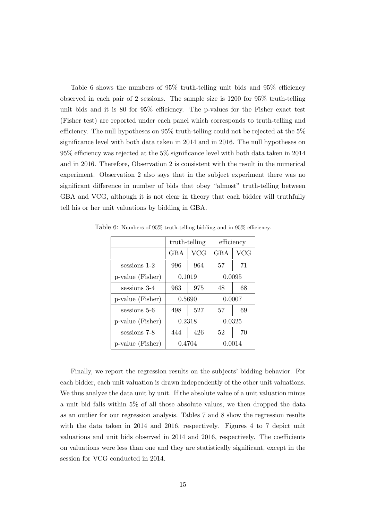Table 6 shows the numbers of 95% truth-telling unit bids and 95% efficiency observed in each pair of 2 sessions. The sample size is 1200 for 95% truth-telling unit bids and it is 80 for 95% efficiency. The p-values for the Fisher exact test (Fisher test) are reported under each panel which corresponds to truth-telling and efficiency. The null hypotheses on 95% truth-telling could not be rejected at the 5% significance level with both data taken in 2014 and in 2016. The null hypotheses on 95% efficiency was rejected at the 5% significance level with both data taken in 2014 and in 2016. Therefore, Observation 2 is consistent with the result in the numerical experiment. Observation 2 also says that in the subject experiment there was no significant difference in number of bids that obey "almost" truth-telling between GBA and VCG, although it is not clear in theory that each bidder will truthfully tell his or her unit valuations by bidding in GBA.

|                  | truth-telling |        | efficiency |     |
|------------------|---------------|--------|------------|-----|
|                  | GBA           | VCG    | GBA        | VCG |
| sessions 1-2     | 996           | 964    | 57         | 71  |
| p-value (Fisher) | 0.1019        |        | 0.0095     |     |
| sessions 3-4     | 963           | 975    | 48         | 68  |
| p-value (Fisher) | 0.5690        |        | 0.0007     |     |
| sessions 5-6     | 498           | 527    | 57         | 69  |
| p-value (Fisher) | 0.2318        |        | 0.0325     |     |
| sessions 7-8     | 444           | 426    | 52         | 70  |
| p-value (Fisher) |               | 0.4704 | 0.0014     |     |

Table 6: Numbers of 95% truth-telling bidding and in 95% efficiency.

Finally, we report the regression results on the subjects' bidding behavior. For each bidder, each unit valuation is drawn independently of the other unit valuations. We thus analyze the data unit by unit. If the absolute value of a unit valuation minus a unit bid falls within 5% of all those absolute values, we then dropped the data as an outlier for our regression analysis. Tables 7 and 8 show the regression results with the data taken in 2014 and 2016, respectively. Figures 4 to 7 depict unit valuations and unit bids observed in 2014 and 2016, respectively. The coefficients on valuations were less than one and they are statistically significant, except in the session for VCG conducted in 2014.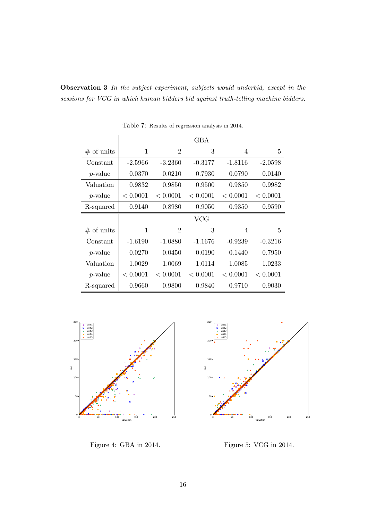**Observation 3** *In the subject experiment, subjects would underbid, except in the sessions for VCG in which human bidders bid against truth-telling machine bidders.*

|                 | GBA       |                |           |           |           |
|-----------------|-----------|----------------|-----------|-----------|-----------|
| $\#$ of units   | 1         | $\overline{2}$ | 3         | 4         | 5         |
| Constant        | $-2.5966$ | $-3.2360$      | $-0.3177$ | -1.8116   | $-2.0598$ |
| <i>p</i> -value | 0.0370    | 0.0210         | 0.7930    | 0.0790    | 0.0140    |
| Valuation       | 0.9832    | 0.9850         | 0.9500    | 0.9850    | 0.9982    |
| $p$ -value      | < 0.0001  | < 0.0001       | < 0.0001  | < 0.0001  | < 0.0001  |
| R-squared       | 0.9140    | 0.8980         | 0.9050    | 0.9350    | 0.9590    |
|                 |           |                |           |           |           |
|                 |           |                | $\rm VCG$ |           |           |
| $#$ of units    | 1         | $\overline{2}$ | 3         | 4         | 5         |
| Constant        | $-1.6190$ | $-1.0880$      | $-1.1676$ | $-0.9239$ | $-0.3216$ |
| <i>p</i> -value | 0.0270    | 0.0450         | 0.0190    | 0.1440    | 0.7950    |
| Valuation       | 1.0029    | 1.0069         | 1.0114    | 1.0085    | 1.0233    |
| $p$ -value      | < 0.0001  | < 0.0001       | < 0.0001  | < 0.0001  | < 0.0001  |

Table 7: Results of regression analysis in 2014.



Figure 4: GBA in 2014.



Figure 5: VCG in 2014.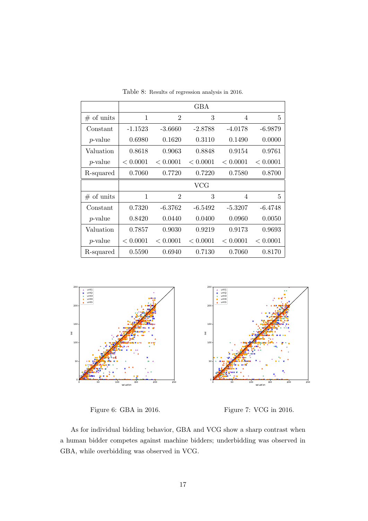|                 |           |                | GBA       |           |           |
|-----------------|-----------|----------------|-----------|-----------|-----------|
| $#$ of units    | 1         | $\overline{2}$ | 3         | 4         | 5         |
| Constant        | $-1.1523$ | $-3.6660$      | $-2.8788$ | $-4.0178$ | $-6.9879$ |
| <i>p</i> -value | 0.6980    | 0.1620         | 0.3110    | 0.1490    | 0.0000    |
| Valuation       | 0.8618    | 0.9063         | 0.8848    | 0.9154    | 0.9761    |
| $p$ -value      | < 0.0001  | < 0.0001       | < 0.0001  | < 0.0001  | < 0.0001  |
| R-squared       | 0.7060    | 0.7720         | 0.7220    | 0.7580    | 0.8700    |
|                 |           |                |           |           |           |
|                 |           |                | $\rm VCG$ |           |           |
| $#$ of units    | 1         | $\overline{2}$ | 3         | 4         | 5         |
| Constant        | 0.7320    | $-6.3762$      | $-6.5492$ | -5.3207   | $-6.4748$ |
| <i>p</i> -value | 0.8420    | 0.0440         | 0.0400    | 0.0960    | 0.0050    |
| Valuation       | 0.7857    | 0.9030         | 0.9219    | 0.9173    | 0.9693    |
| $p$ -value      | < 0.0001  | < 0.0001       | < 0.0001  | < 0.0001  | < 0.0001  |

Table 8: Results of regression analysis in 2016.



Figure 6: GBA in 2016.

Figure 7: VCG in 2016.

As for individual bidding behavior, GBA and VCG show a sharp contrast when a human bidder competes against machine bidders; underbidding was observed in GBA, while overbidding was observed in VCG.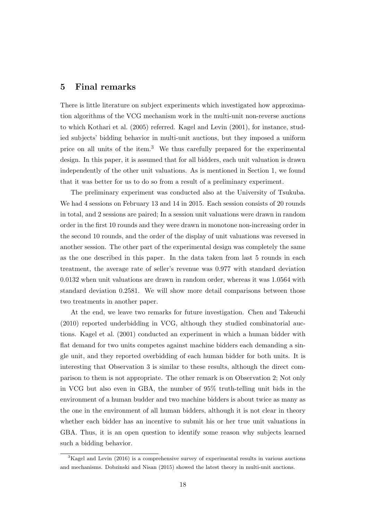#### **5 Final remarks**

There is little literature on subject experiments which investigated how approximation algorithms of the VCG mechanism work in the multi-unit non-reverse auctions to which Kothari et al. (2005) referred. Kagel and Levin (2001), for instance, studied subjects' bidding behavior in multi-unit auctions, but they imposed a uniform price on all units of the item.<sup>3</sup> We thus carefully prepared for the experimental design. In this paper, it is assumed that for all bidders, each unit valuation is drawn independently of the other unit valuations. As is mentioned in Section 1, we found that it was better for us to do so from a result of a preliminary experiment.

The preliminary experiment was conducted also at the University of Tsukuba. We had 4 sessions on February 13 and 14 in 2015. Each session consists of 20 rounds in total, and 2 sessions are paired; In a session unit valuations were drawn in random order in the first 10 rounds and they were drawn in monotone non-increasing order in the second 10 rounds, and the order of the display of unit valuations was reversed in another session. The other part of the experimental design was completely the same as the one described in this paper. In the data taken from last 5 rounds in each treatment, the average rate of seller's revenue was 0.977 with standard deviation 0.0132 when unit valuations are drawn in random order, whereas it was 1.0564 with standard deviation 0.2581. We will show more detail comparisons between those two treatments in another paper.

At the end, we leave two remarks for future investigation. Chen and Takeuchi (2010) reported underbidding in VCG, although they studied combinatorial auctions. Kagel et al. (2001) conducted an experiment in which a human bidder with flat demand for two units competes against machine bidders each demanding a single unit, and they reported overbidding of each human bidder for both units. It is interesting that Observation 3 is similar to these results, although the direct comparison to them is not appropriate. The other remark is on Observation 2; Not only in VCG but also even in GBA, the number of 95% truth-telling unit bids in the environment of a human budder and two machine bidders is about twice as many as the one in the environment of all human bidders, although it is not clear in theory whether each bidder has an incentive to submit his or her true unit valuations in GBA. Thus, it is an open question to identify some reason why subjects learned such a bidding behavior.

 $3$ Kagel and Levin (2016) is a comprehensive survey of experimental results in various auctions and mechanisms. Dobzinski and Nisan (2015) showed the latest theory in multi-unit auctions.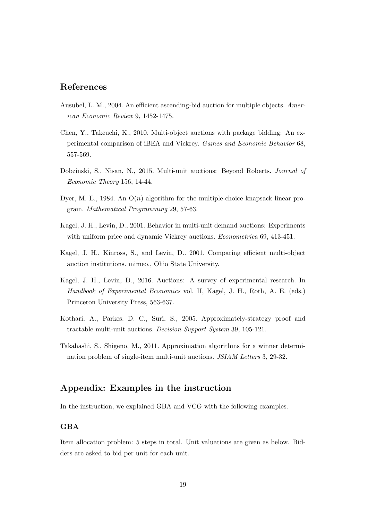#### **References**

- Ausubel, L. M., 2004. An efficient ascending-bid auction for multiple objects. *American Economic Review* 9, 1452-1475.
- Chen, Y., Takeuchi, K., 2010. Multi-object auctions with package bidding: An experimental comparison of iBEA and Vickrey. *Games and Economic Behavior* 68, 557-569.
- Dobzinski, S., Nisan, N., 2015. Multi-unit auctions: Beyond Roberts. *Journal of Economic Theory* 156, 14-44.
- Dyer, M. E., 1984. An  $O(n)$  algorithm for the multiple-choice knapsack linear program. *Mathematical Programming* 29, 57-63.
- Kagel, J. H., Levin, D., 2001. Behavior in multi-unit demand auctions: Experiments with uniform price and dynamic Vickrey auctions. *Econometrica* 69, 413-451.
- Kagel, J. H., Kinross, S., and Levin, D.. 2001. Comparing efficient multi-object auction institutions. mimeo., Ohio State University.
- Kagel, J. H., Levin, D., 2016. Auctions: A survey of experimental research. In *Handbook of Experimental Economics* vol. II, Kagel, J. H., Roth, A. E. (eds.) Princeton University Press, 563-637.
- Kothari, A., Parkes. D. C., Suri, S., 2005. Approximately-strategy proof and tractable multi-unit auctions. *Decision Support System* 39, 105-121.
- Takahashi, S., Shigeno, M., 2011. Approximation algorithms for a winner determination problem of single-item multi-unit auctions. *JSIAM Letters* 3, 29-32.

#### **Appendix: Examples in the instruction**

In the instruction, we explained GBA and VCG with the following examples.

#### **GBA**

Item allocation problem: 5 steps in total. Unit valuations are given as below. Bidders are asked to bid per unit for each unit.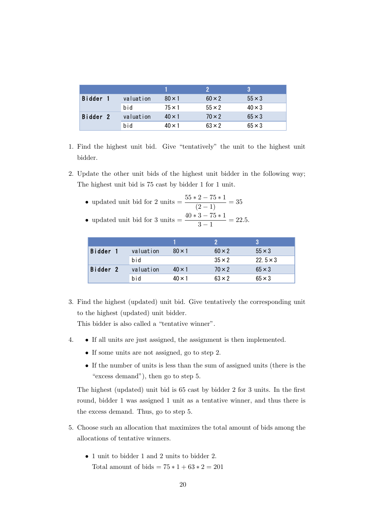|          |           |               |               | 2             |
|----------|-----------|---------------|---------------|---------------|
| Bidder   | valuation | $80 \times 1$ | $60 \times 2$ | $55 \times 3$ |
|          | bid       | $75 \times 1$ | $55 \times 2$ | $40 \times 3$ |
| Bidder 2 | valuation | $40 \times 1$ | $70 \times 2$ | $65 \times 3$ |
|          | bid       | $40 \times 1$ | $63 \times 2$ | $65 \times 3$ |

- 1. Find the highest unit bid. Give "tentatively" the unit to the highest unit bidder.
- 2. Update the other unit bids of the highest unit bidder in the following way; The highest unit bid is 75 cast by bidder 1 for 1 unit.
	- updated unit bid for 2 units =  $\frac{55 * 2 75 * 1}{(2 1)} = 35$
	- updated unit bid for 3 units =  $\frac{40 * 3 75 * 1}{3 1} = 22.5$ .

| Bidder   | valuation | $80 \times 1$ | $60 \times 2$ | $55 \times 3$   |
|----------|-----------|---------------|---------------|-----------------|
|          | bid       |               | $35 \times 2$ | $22.5 \times 3$ |
| Bidder 2 | valuation | $40 \times 1$ | $70 \times 2$ | $65 \times 3$   |
|          | bid       | $40 \times 1$ | $63 \times 2$ | $65 \times 3$   |

3. Find the highest (updated) unit bid. Give tentatively the corresponding unit to the highest (updated) unit bidder.

This bidder is also called a "tentative winner".

- 4. *•* If all units are just assigned, the assignment is then implemented.
	- *•* If some units are not assigned, go to step 2.
	- *•* If the number of units is less than the sum of assigned units (there is the "excess demand"), then go to step 5.

The highest (updated) unit bid is 65 cast by bidder 2 for 3 units. In the first round, bidder 1 was assigned 1 unit as a tentative winner, and thus there is the excess demand. Thus, go to step 5.

- 5. Choose such an allocation that maximizes the total amount of bids among the allocations of tentative winners.
	- *•* 1 unit to bidder 1 and 2 units to bidder 2. Total amount of bids =  $75 * 1 + 63 * 2 = 201$